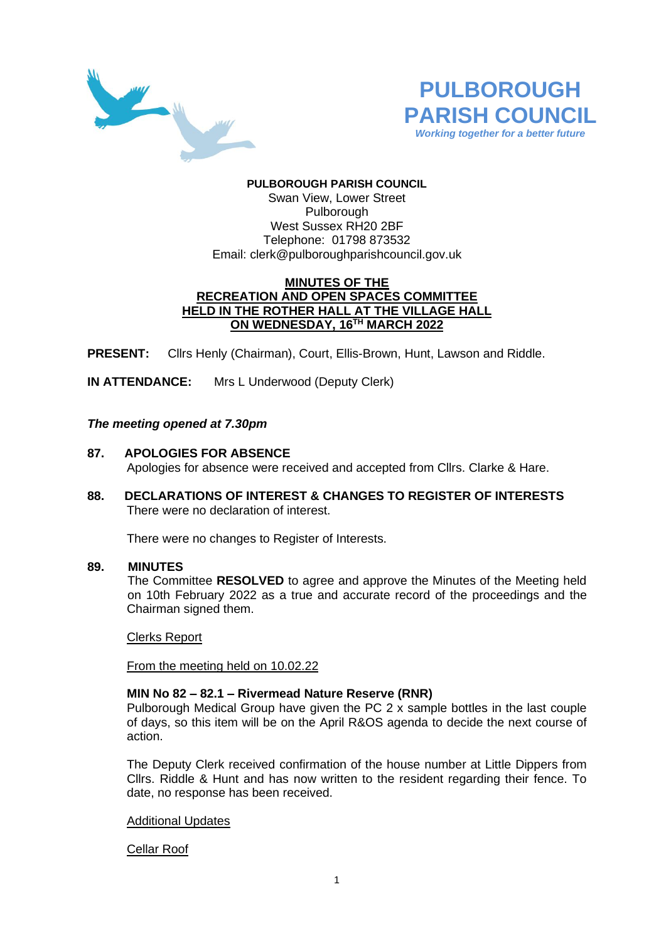



### **PULBOROUGH PARISH COUNCIL** Swan View, Lower Street Pulborough West Sussex RH20 2BF Telephone: 01798 873532 Email: [clerk@pulboroughparishcouncil.gov.uk](mailto:clerk@pulboroughparishcouncil.gov.uk)

# **MINUTES OF THE RECREATION AND OPEN SPACES COMMITTEE HELD IN THE ROTHER HALL AT THE VILLAGE HALL ON WEDNESDAY, 16 TH MARCH 2022**

**PRESENT:** Cllrs Henly (Chairman), Court, Ellis-Brown, Hunt, Lawson and Riddle.

**IN ATTENDANCE:** Mrs L Underwood (Deputy Clerk)

## *The meeting opened at 7.30pm*

- **87. APOLOGIES FOR ABSENCE** Apologies for absence were received and accepted from Cllrs. Clarke & Hare.
- **88. DECLARATIONS OF INTEREST & CHANGES TO REGISTER OF INTERESTS** There were no declaration of interest.

There were no changes to Register of Interests.

### **89. MINUTES**

The Committee **RESOLVED** to agree and approve the Minutes of the Meeting held on 10th February 2022 as a true and accurate record of the proceedings and the Chairman signed them.

### Clerks Report

From the meeting held on 10.02.22

### **MIN No 82 – 82.1 – Rivermead Nature Reserve (RNR)**

Pulborough Medical Group have given the PC 2 x sample bottles in the last couple of days, so this item will be on the April R&OS agenda to decide the next course of action.

The Deputy Clerk received confirmation of the house number at Little Dippers from Cllrs. Riddle & Hunt and has now written to the resident regarding their fence. To date, no response has been received.

### Additional Updates

### Cellar Roof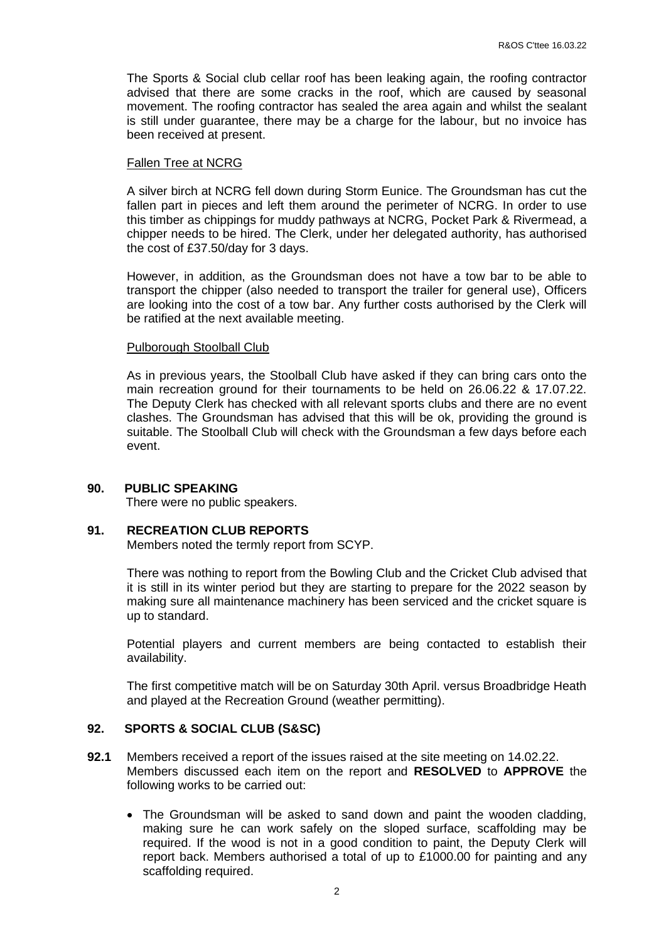The Sports & Social club cellar roof has been leaking again, the roofing contractor advised that there are some cracks in the roof, which are caused by seasonal movement. The roofing contractor has sealed the area again and whilst the sealant is still under guarantee, there may be a charge for the labour, but no invoice has been received at present.

#### Fallen Tree at NCRG

A silver birch at NCRG fell down during Storm Eunice. The Groundsman has cut the fallen part in pieces and left them around the perimeter of NCRG. In order to use this timber as chippings for muddy pathways at NCRG, Pocket Park & Rivermead, a chipper needs to be hired. The Clerk, under her delegated authority, has authorised the cost of £37.50/day for 3 days.

However, in addition, as the Groundsman does not have a tow bar to be able to transport the chipper (also needed to transport the trailer for general use), Officers are looking into the cost of a tow bar. Any further costs authorised by the Clerk will be ratified at the next available meeting.

#### Pulborough Stoolball Club

As in previous years, the Stoolball Club have asked if they can bring cars onto the main recreation ground for their tournaments to be held on 26.06.22 & 17.07.22. The Deputy Clerk has checked with all relevant sports clubs and there are no event clashes. The Groundsman has advised that this will be ok, providing the ground is suitable. The Stoolball Club will check with the Groundsman a few days before each event.

### **90. PUBLIC SPEAKING**

There were no public speakers.

### **91. RECREATION CLUB REPORTS**

Members noted the termly report from SCYP.

There was nothing to report from the Bowling Club and the Cricket Club advised that it is still in its winter period but they are starting to prepare for the 2022 season by making sure all maintenance machinery has been serviced and the cricket square is up to standard.

Potential players and current members are being contacted to establish their availability.

The first competitive match will be on Saturday 30th April. versus Broadbridge Heath and played at the Recreation Ground (weather permitting).

### **92. SPORTS & SOCIAL CLUB (S&SC)**

- **92.1** Members received a report of the issues raised at the site meeting on 14.02.22. Members discussed each item on the report and **RESOLVED** to **APPROVE** the following works to be carried out:
	- The Groundsman will be asked to sand down and paint the wooden cladding, making sure he can work safely on the sloped surface, scaffolding may be required. If the wood is not in a good condition to paint, the Deputy Clerk will report back. Members authorised a total of up to £1000.00 for painting and any scaffolding required.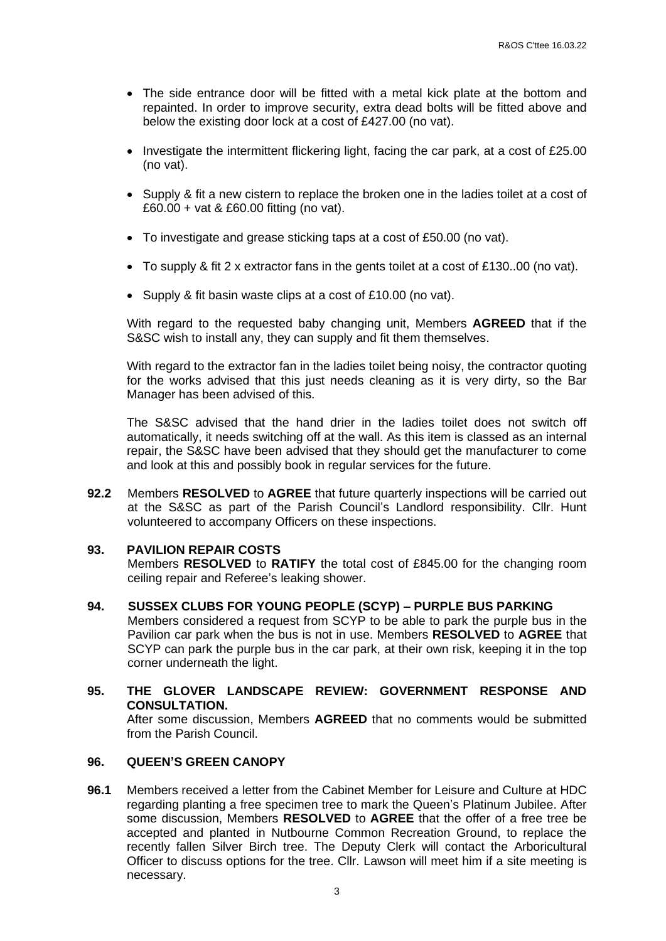- The side entrance door will be fitted with a metal kick plate at the bottom and repainted. In order to improve security, extra dead bolts will be fitted above and below the existing door lock at a cost of £427.00 (no vat).
- Investigate the intermittent flickering light, facing the car park, at a cost of £25.00 (no vat).
- Supply & fit a new cistern to replace the broken one in the ladies toilet at a cost of £60.00 + vat & £60.00 fitting (no vat).
- To investigate and grease sticking taps at a cost of £50.00 (no vat).
- To supply & fit 2 x extractor fans in the gents toilet at a cost of £130..00 (no vat).
- Supply & fit basin waste clips at a cost of £10.00 (no vat).

With regard to the requested baby changing unit, Members **AGREED** that if the S&SC wish to install any, they can supply and fit them themselves.

With regard to the extractor fan in the ladies toilet being noisy, the contractor quoting for the works advised that this just needs cleaning as it is very dirty, so the Bar Manager has been advised of this.

The S&SC advised that the hand drier in the ladies toilet does not switch off automatically, it needs switching off at the wall. As this item is classed as an internal repair, the S&SC have been advised that they should get the manufacturer to come and look at this and possibly book in regular services for the future.

**92.2** Members **RESOLVED** to **AGREE** that future quarterly inspections will be carried out at the S&SC as part of the Parish Council's Landlord responsibility. Cllr. Hunt volunteered to accompany Officers on these inspections.

### **93. PAVILION REPAIR COSTS**

Members **RESOLVED** to **RATIFY** the total cost of £845.00 for the changing room ceiling repair and Referee's leaking shower.

- **94. SUSSEX CLUBS FOR YOUNG PEOPLE (SCYP) – PURPLE BUS PARKING** Members considered a request from SCYP to be able to park the purple bus in the Pavilion car park when the bus is not in use. Members **RESOLVED** to **AGREE** that SCYP can park the purple bus in the car park, at their own risk, keeping it in the top corner underneath the light.
- **95. THE GLOVER LANDSCAPE REVIEW: GOVERNMENT RESPONSE AND CONSULTATION.** After some discussion, Members **AGREED** that no comments would be submitted from the Parish Council.

# **96. QUEEN'S GREEN CANOPY**

**96.1** Members received a letter from the Cabinet Member for Leisure and Culture at HDC regarding planting a free specimen tree to mark the Queen's Platinum Jubilee. After some discussion, Members **RESOLVED** to **AGREE** that the offer of a free tree be accepted and planted in Nutbourne Common Recreation Ground, to replace the recently fallen Silver Birch tree. The Deputy Clerk will contact the Arboricultural Officer to discuss options for the tree. Cllr. Lawson will meet him if a site meeting is necessary.